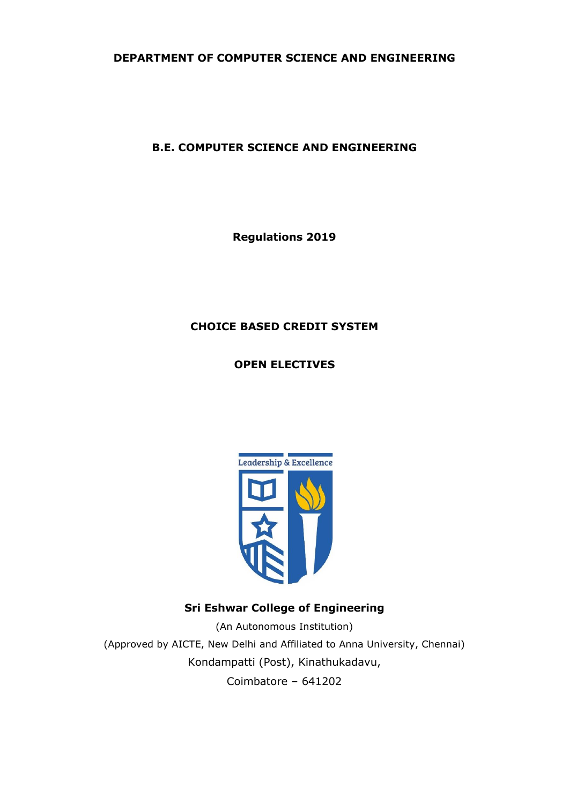**DEPARTMENT OF COMPUTER SCIENCE AND ENGINEERING**

## **B.E. COMPUTER SCIENCE AND ENGINEERING**

**Regulations 2019**

## **CHOICE BASED CREDIT SYSTEM**

**OPEN ELECTIVES**



# **Sri Eshwar College of Engineering**

(An Autonomous Institution) (Approved by AICTE, New Delhi and Affiliated to Anna University, Chennai) Kondampatti (Post), Kinathukadavu, Coimbatore – 641202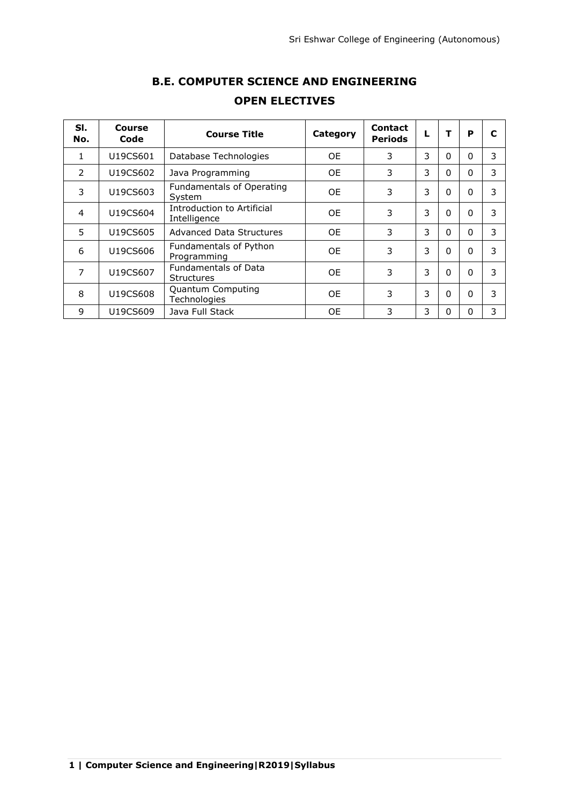| SI.<br>No.     | Course<br>Code | <b>Course Title</b>                              | Category  | <b>Contact</b><br><b>Periods</b> | L |          | P            | C |
|----------------|----------------|--------------------------------------------------|-----------|----------------------------------|---|----------|--------------|---|
| 1              | U19CS601       | Database Technologies                            | 0E        | 3                                | 3 | 0        | $\Omega$     | 3 |
| $\mathcal{P}$  | U19CS602       | Java Programming                                 | 0E        | 3                                | 3 | 0        | $\Omega$     | 3 |
| 3              | U19CS603       | Fundamentals of Operating<br>System              | <b>OE</b> | 3                                | 3 | $\Omega$ | $\Omega$     | 3 |
| $\overline{4}$ | U19CS604       | Introduction to Artificial<br>Intelligence       | <b>OE</b> | 3                                | 3 | $\Omega$ | $\Omega$     | 3 |
| 5              | U19CS605       | Advanced Data Structures                         | <b>OE</b> | 3                                | 3 | 0        | $\Omega$     | 3 |
| 6              | U19CS606       | Fundamentals of Python<br>Programming            | OE.       | 3                                | 3 | $\Omega$ | $\Omega$     | 3 |
| 7              | U19CS607       | <b>Fundamentals of Data</b><br><b>Structures</b> | OE.       | 3                                | 3 | $\Omega$ | $\Omega$     | 3 |
| 8              | U19CS608       | Quantum Computing<br>Technologies                | <b>OE</b> | 3                                | 3 | $\Omega$ | $\Omega$     | 3 |
| 9              | U19CS609       | Java Full Stack                                  | <b>OE</b> | 3                                | 3 | 0        | <sup>0</sup> | 3 |

# **B.E. COMPUTER SCIENCE AND ENGINEERING OPEN ELECTIVES**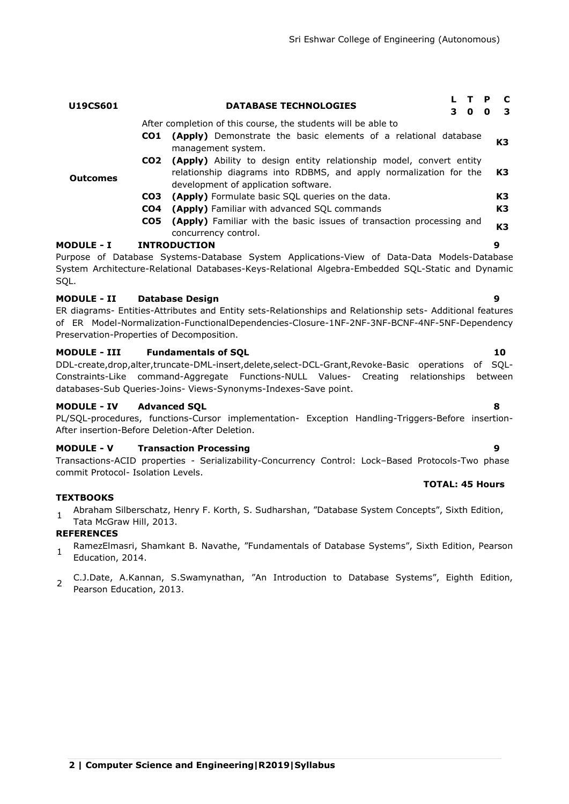| CO1                | (Apply) Demonstrate the basic elements of a relational database                                           | K3 |
|--------------------|-----------------------------------------------------------------------------------------------------------|----|
|                    | management system.                                                                                        |    |
|                    | CO2 (Apply) Ability to design entity relationship model, convert entity                                   |    |
|                    | relationship diagrams into RDBMS, and apply normalization for the                                         | K3 |
| <b>Outcomes</b>    | development of application software.                                                                      |    |
| CO3                | (Apply) Formulate basic SQL queries on the data.                                                          | K3 |
| CO4                | (Apply) Familiar with advanced SQL commands                                                               | K3 |
| CO5                | (Apply) Familiar with the basic issues of transaction processing and                                      |    |
|                    | concurrency control.                                                                                      | K3 |
| <b>MODULE - I</b>  | <b>INTRODUCTION</b>                                                                                       | 9  |
|                    | Purpose of Database Systems-Database System Applications-View of Data-Data Models-Database                |    |
|                    | System Architecture-Relational Databases-Keys-Relational Algebra-Embedded SQL-Static and Dynamic          |    |
| SQL.               |                                                                                                           |    |
|                    |                                                                                                           |    |
| <b>MODULE - II</b> | <b>Database Design</b>                                                                                    | 9  |
|                    | ER diagrams- Entities-Attributes and Entity sets-Relationships and Relationship sets- Additional features |    |
|                    | of ER Model-Normalization-FunctionalDependencies-Closure-1NF-2NF-3NF-BCNF-4NF-5NF-Dependency              |    |

**U19CS601 DATABASE TECHNOLOGIES <sup>L</sup> <sup>T</sup> <sup>P</sup> <sup>C</sup>**

After completion of this course, the students will be able to

**MODULE - III Fundamentals of SQL 10** DDL-create,drop,alter,truncate-DML-insert,delete,select-DCL-Grant,Revoke-Basic operations of SQL-

Constraints-Like command-Aggregate Functions-NULL Values- Creating relationships between databases-Sub Queries-Joins- Views-Synonyms-Indexes-Save point.

## **MODULE - IV Advanced SQL 8**

PL/SQL-procedures, functions-Cursor implementation- Exception Handling-Triggers-Before insertion-After insertion-Before Deletion-After Deletion.

## **MODULE - V Transaction Processing 9**

Preservation-Properties of Decomposition.

Transactions-ACID properties - Serializability-Concurrency Control: Lock–Based Protocols-Two phase commit Protocol- Isolation Levels. **TOTAL: 45 Hours**

## **TEXTBOOKS**

1 Abraham Silberschatz, Henry F. Korth, S. Sudharshan, "Database System Concepts", Sixth Edition, Tata McGraw Hill, 2013.

## **REFERENCES**

- 1 RamezElmasri, Shamkant B. Navathe, "Fundamentals of Database Systems", Sixth Edition, Pearson Education, 2014.
- $\mathcal{L}$ C.J.Date, A.Kannan, S.Swamynathan, "An Introduction to Database Systems", Eighth Edition, Pearson Education, 2013.

**3 0 0 3**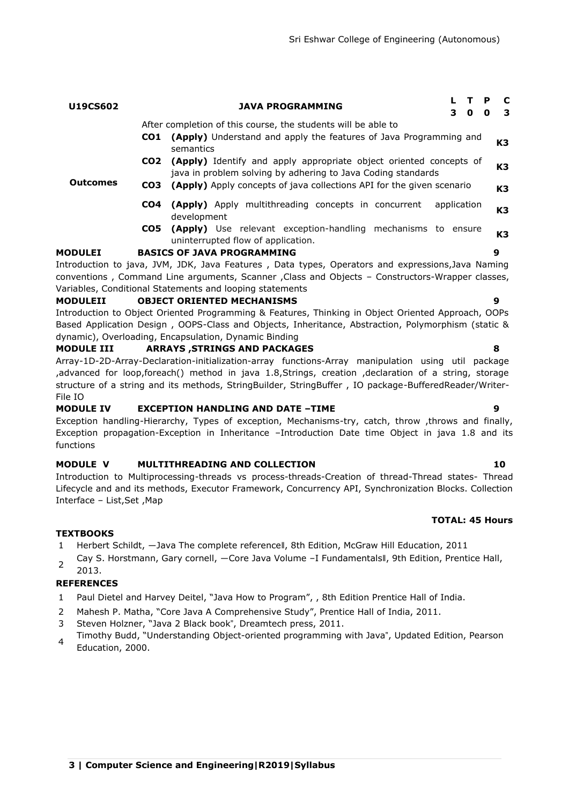| After completion of this course, the students will be able to |                 |                                                                                                                                    |    |  |
|---------------------------------------------------------------|-----------------|------------------------------------------------------------------------------------------------------------------------------------|----|--|
|                                                               | CO1             | (Apply) Understand and apply the features of Java Programming and<br>semantics                                                     | K3 |  |
|                                                               | CO <sub>2</sub> | (Apply) Identify and apply appropriate object oriented concepts of<br>java in problem solving by adhering to Java Coding standards | K3 |  |
| <b>Outcomes</b>                                               | CO3             | (Apply) Apply concepts of java collections API for the given scenario                                                              | K3 |  |
|                                                               | CO4             | (Apply) Apply multithreading concepts in concurrent<br>application<br>development                                                  | K3 |  |
|                                                               |                 | CO5 (Apply) Use relevant exception-handling mechanisms to ensure<br>uninterrupted flow of application.                             | K3 |  |
| <b>MODULEI</b>                                                |                 | <b>BASICS OF JAVA PROGRAMMING</b>                                                                                                  | 9  |  |
|                                                               |                 | Introduction to java, JVM, JDK, Java Features, Data types, Operators and expressions, Java Naming                                  |    |  |
|                                                               |                 | conventions, Command Line arguments, Scanner, Class and Objects - Constructors-Wrapper classes,                                    |    |  |
|                                                               |                 | Variables, Conditional Statements and looping statements                                                                           |    |  |
| <b>MODULEII</b>                                               |                 | <b>OBJECT ORIENTED MECHANISMS</b>                                                                                                  | 9  |  |
|                                                               |                 | Introduction to Object Oriented Programming & Features, Thinking in Object Oriented Approach, OOPs                                 |    |  |
|                                                               |                 | Based Application Design, OOPS-Class and Objects, Inheritance, Abstraction, Polymorphism (static &                                 |    |  |

**U19CS602 JAVA PROGRAMMING <sup>L</sup> <sup>T</sup> <sup>P</sup> <sup>C</sup>**

## dynamic), Overloading, Encapsulation, Dynamic Binding

## **MODULE III ARRAYS ,STRINGS AND PACKAGES 8**

Array-1D-2D-Array-Declaration-initialization-array functions-Array manipulation using util package ,advanced for loop,foreach() method in java 1.8,Strings, creation ,declaration of a string, storage structure of a string and its methods, StringBuilder, StringBuffer , IO package-BufferedReader/Writer-File IO

## **MODULE IV EXCEPTION HANDLING AND DATE –TIME 9**

Exception handling-Hierarchy, Types of exception, Mechanisms-try, catch, throw ,throws and finally, Exception propagation-Exception in Inheritance –Introduction Date time Object in java 1.8 and its functions

## **MODULE V MULTITHREADING AND COLLECTION 10**

Introduction to Multiprocessing-threads vs process-threads-Creation of thread-Thread states- Thread Lifecycle and and its methods, Executor Framework, Concurrency API, Synchronization Blocks. Collection Interface – List,Set ,Map

## **TOTAL: 45 Hours**

**3 0 0 3**

## **TEXTBOOKS**

- 1 Herbert Schildt, ―Java The complete reference‖, 8th Edition, McGraw Hill Education, 2011
- 2 Cay S. Horstmann, Gary cornell, -Core Java Volume -I Fundamentalsll, 9th Edition, Prentice Hall,

## 2013.

- 1 Paul Dietel and Harvey Deitel, "Java How to Program", , 8th Edition Prentice Hall of India.
- 2 Mahesh P. Matha, "Core Java A Comprehensive Study", Prentice Hall of India, 2011.
- 3 Steven Holzner, "Java 2 Black book", Dreamtech press, 2011.
- 4 Timothy Budd, "Understanding Object-oriented programming with Java", Updated Edition, Pearson Education, 2000.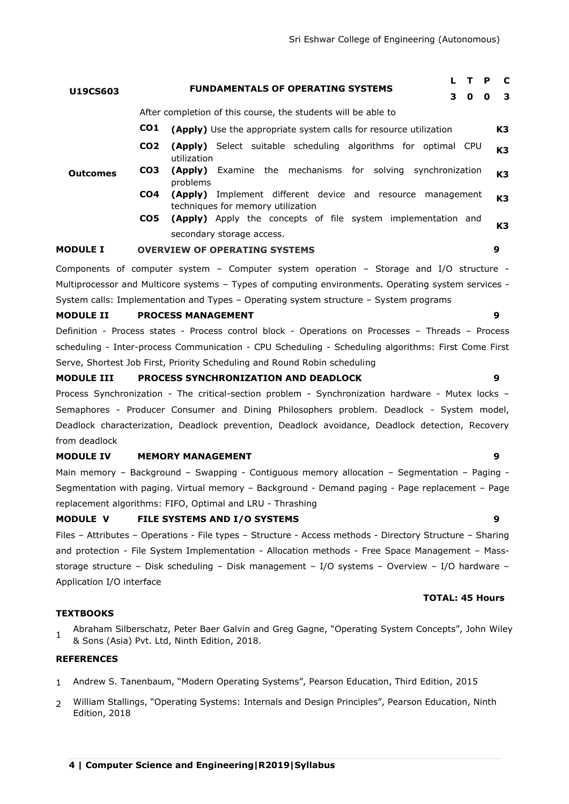| U19CS603          |                 | <b>FUNDAMENTALS OF OPERATING SYSTEMS</b><br>3                                                          | $\mathbf 0$ | P<br>$\mathbf 0$ | C<br>3         |
|-------------------|-----------------|--------------------------------------------------------------------------------------------------------|-------------|------------------|----------------|
|                   |                 | After completion of this course, the students will be able to                                          |             |                  |                |
|                   | CO <sub>1</sub> | (Apply) Use the appropriate system calls for resource utilization                                      |             |                  | K3             |
|                   | CO <sub>2</sub> | <b>(Apply)</b> Select suitable scheduling algorithms for optimal CPU<br>utilization                    |             |                  | K <sub>3</sub> |
| <b>Outcomes</b>   | CO <sub>3</sub> | Examine the mechanisms for solving synchronization<br>(Apply)<br>problems                              |             |                  | K3             |
|                   | CO <sub>4</sub> | <b>(Apply)</b> Implement different device and resource management<br>techniques for memory utilization |             |                  | K <sub>3</sub> |
|                   | CO <sub>5</sub> | <b>(Apply)</b> Apply the concepts of file system implementation and                                    |             |                  | K3             |
|                   |                 | secondary storage access.                                                                              |             |                  |                |
| <b>MODULE I</b>   |                 | <b>OVERVIEW OF OPERATING SYSTEMS</b>                                                                   |             | 9                |                |
|                   |                 | Components of computer system - Computer system operation - Storage and I/O structure -                |             |                  |                |
|                   |                 | Multiprocessor and Multicore systems - Types of computing environments. Operating system services -    |             |                  |                |
|                   |                 | System calls: Implementation and Types - Operating system structure - System programs                  |             |                  |                |
| <b>MODULE II</b>  |                 | <b>PROCESS MANAGEMENT</b>                                                                              |             | 9                |                |
|                   |                 | Definition - Process states - Process control block - Operations on Processes - Threads - Process      |             |                  |                |
|                   |                 | scheduling - Inter-process Communication - CPU Scheduling - Scheduling algorithms: First Come First    |             |                  |                |
|                   |                 | Serve, Shortest Job First, Priority Scheduling and Round Robin scheduling                              |             |                  |                |
| <b>MODULE III</b> |                 | PROCESS SYNCHRONIZATION AND DEADLOCK                                                                   |             | 9                |                |
|                   |                 | Researc Cunchronization. The critical section problem. Cunchronization bardware<br>مبامما برم+س        |             |                  |                |

Process Synchronization - The critical-section problem - Synchronization hardware - Mutex locks – Semaphores - Producer Consumer and Dining Philosophers problem. Deadlock - System model, Deadlock characterization, Deadlock prevention, Deadlock avoidance, Deadlock detection, Recovery from deadlock

#### **MODULE IV MEMORY MANAGEMENT 9**

Main memory – Background – Swapping - Contiguous memory allocation – Segmentation – Paging - Segmentation with paging. Virtual memory – Background - Demand paging - Page replacement – Page replacement algorithms: FIFO, Optimal and LRU - Thrashing

#### **MODULE V FILE SYSTEMS AND I/O SYSTEMS 9**

Files – Attributes – Operations - File types – Structure - Access methods - Directory Structure – Sharing and protection - File System Implementation - Allocation methods - Free Space Management – Massstorage structure – Disk scheduling – Disk management – I/O systems – Overview – I/O hardware – Application I/O interface

#### **TEXTBOOKS**

1 Abraham Silberschatz, Peter Baer Galvin and Greg Gagne, "Operating System Concepts", John Wiley & Sons (Asia) Pvt. Ltd, Ninth Edition, 2018.

#### **REFERENCES**

- 1 Andrew S. Tanenbaum, "Modern Operating Systems", Pearson Education, Third Edition, 2015
- 2 William Stallings, "Operating Systems: Internals and Design Principles", Pearson Education, Ninth Edition, 2018

**TOTAL: 45 Hours**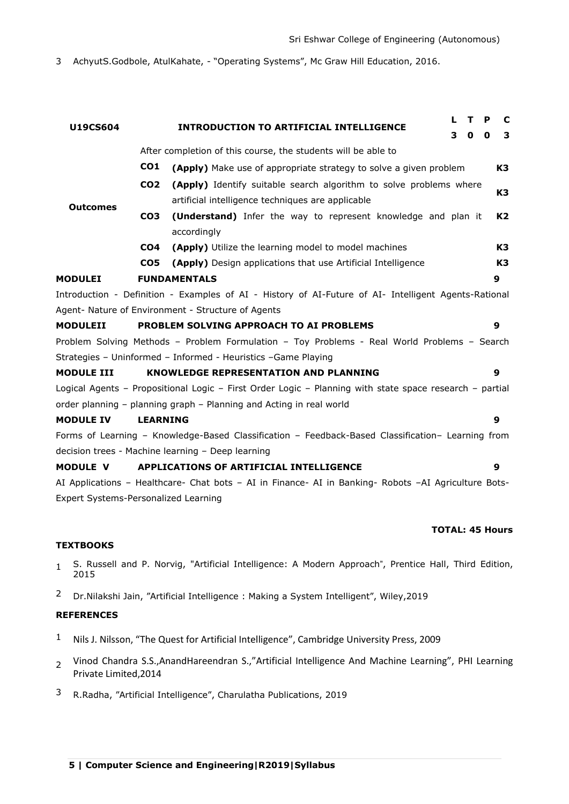3 AchyutS.Godbole, AtulKahate, - "Operating Systems", Mc Graw Hill Education, 2016.

|                                      |                 |                                                                                                         | L | т | P | C              |
|--------------------------------------|-----------------|---------------------------------------------------------------------------------------------------------|---|---|---|----------------|
| <b>U19CS604</b>                      |                 | <b>INTRODUCTION TO ARTIFICIAL INTELLIGENCE</b>                                                          | 3 | 0 | 0 | 3              |
|                                      |                 | After completion of this course, the students will be able to                                           |   |   |   |                |
|                                      | CO <sub>1</sub> | (Apply) Make use of appropriate strategy to solve a given problem                                       |   |   |   | K3             |
|                                      | CO <sub>2</sub> | (Apply) Identify suitable search algorithm to solve problems where                                      |   |   |   |                |
| <b>Outcomes</b>                      |                 | artificial intelligence techniques are applicable                                                       |   |   |   | K <sub>3</sub> |
|                                      | CO <sub>3</sub> | (Understand) Infer the way to represent knowledge and plan it                                           |   |   |   | K2             |
|                                      |                 | accordingly                                                                                             |   |   |   |                |
|                                      | CO4             | (Apply) Utilize the learning model to model machines                                                    |   |   |   | K3             |
|                                      | CO <sub>5</sub> | (Apply) Design applications that use Artificial Intelligence                                            |   |   |   | K3             |
| <b>MODULEI</b>                       |                 | <b>FUNDAMENTALS</b>                                                                                     |   |   |   | 9              |
|                                      |                 | Introduction - Definition - Examples of AI - History of AI-Future of AI- Intelligent Agents-Rational    |   |   |   |                |
|                                      |                 | Agent- Nature of Environment - Structure of Agents                                                      |   |   |   |                |
| <b>MODULEII</b>                      |                 | PROBLEM SOLVING APPROACH TO AI PROBLEMS                                                                 |   |   |   | 9              |
|                                      |                 | Problem Solving Methods - Problem Formulation - Toy Problems - Real World Problems - Search             |   |   |   |                |
|                                      |                 | Strategies - Uninformed - Informed - Heuristics -Game Playing                                           |   |   |   |                |
| <b>MODULE III</b>                    |                 | <b>KNOWLEDGE REPRESENTATION AND PLANNING</b>                                                            |   |   |   | 9              |
|                                      |                 | Logical Agents - Propositional Logic - First Order Logic - Planning with state space research - partial |   |   |   |                |
|                                      |                 | order planning - planning graph - Planning and Acting in real world                                     |   |   |   |                |
| <b>MODULE IV</b>                     | <b>LEARNING</b> |                                                                                                         |   |   |   | 9              |
|                                      |                 | Forms of Learning - Knowledge-Based Classification - Feedback-Based Classification- Learning from       |   |   |   |                |
|                                      |                 | decision trees - Machine learning - Deep learning                                                       |   |   |   |                |
| <b>MODULE V</b>                      |                 | APPLICATIONS OF ARTIFICIAL INTELLIGENCE                                                                 |   |   |   | 9              |
|                                      |                 | AI Applications - Healthcare- Chat bots - AI in Finance- AI in Banking- Robots -AI Agriculture Bots-    |   |   |   |                |
| Expert Systems-Personalized Learning |                 |                                                                                                         |   |   |   |                |

### **TOTAL: 45 Hours**

#### **TEXTBOOKS**

- 1 S. Russell and P. Norvig, "Artificial Intelligence: A Modern Approach", Prentice Hall, Third Edition, 2015
- 2 Dr.Nilakshi Jain, "Artificial Intelligence : Making a System Intelligent", Wiley,2019

- <sup>1</sup> Nils J. Nilsson, "The Quest for Artificial Intelligence", Cambridge University Press, 2009
- 2 [Vinod Chandra S.S.,](https://www.amazon.in/s/ref=dp_byline_sr_ebooks_1?ie=UTF8&field-author=VINOD+CHANDRA+S.S.&text=VINOD+CHANDRA+S.S.&sort=relevancerank&search-alias=digital-text)AnandHareendran S.,"Artificial Intelligence And Machine Learning", PHI Learning Private Limited,2014
- 3 R.Radha, "Artificial Intelligence", Charulatha Publications, 2019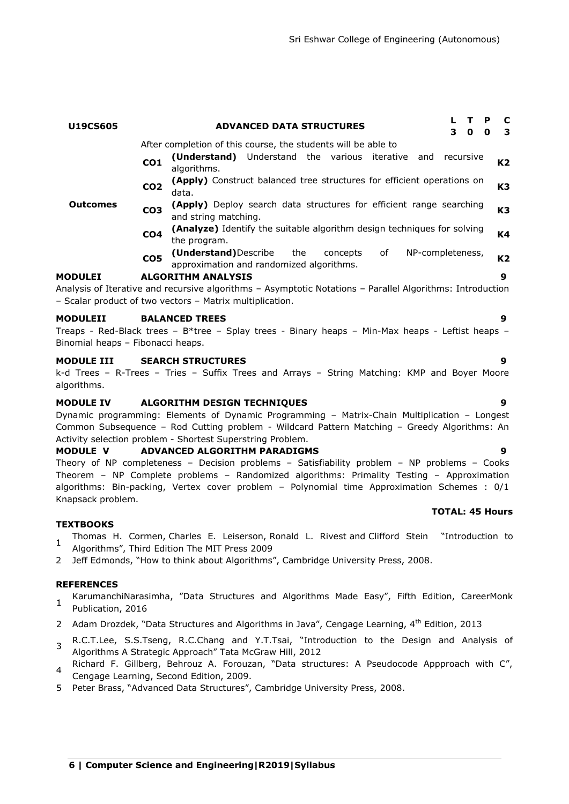| U19CS605                                               |                 | <b>ADVANCED DATA STRUCTURES</b>                                                                                                                                                                                                                                                                                          | L<br>3    | т<br>P<br>0<br>0       | C<br>З.        |
|--------------------------------------------------------|-----------------|--------------------------------------------------------------------------------------------------------------------------------------------------------------------------------------------------------------------------------------------------------------------------------------------------------------------------|-----------|------------------------|----------------|
|                                                        | CO <sub>1</sub> | After completion of this course, the students will be able to<br>(Understand) Understand the various iterative and<br>algorithms.                                                                                                                                                                                        | recursive |                        | K2             |
|                                                        | CO <sub>2</sub> | (Apply) Construct balanced tree structures for efficient operations on<br>data.                                                                                                                                                                                                                                          |           |                        | K3             |
| Outcomes                                               | CO <sub>3</sub> | (Apply) Deploy search data structures for efficient range searching<br>and string matching.                                                                                                                                                                                                                              |           |                        | K <sub>3</sub> |
|                                                        | CO <sub>4</sub> | (Analyze) Identify the suitable algorithm design techniques for solving<br>the program.                                                                                                                                                                                                                                  |           |                        | K4             |
|                                                        | CO <sub>5</sub> | (Understand) Describe<br>the<br>of<br>NP-completeness,<br>concepts<br>approximation and randomized algorithms.                                                                                                                                                                                                           |           |                        | K2             |
| <b>MODULEI</b>                                         |                 | <b>ALGORITHM ANALYSIS</b><br>Analysis of Iterative and recursive algorithms - Asymptotic Notations - Parallel Algorithms: Introduction<br>- Scalar product of two vectors - Matrix multiplication.                                                                                                                       |           |                        | 9              |
| <b>MODULEII</b><br>Binomial heaps - Fibonacci heaps.   |                 | <b>BALANCED TREES</b><br>Treaps - Red-Black trees - B*tree - Splay trees - Binary heaps - Min-Max heaps - Leftist heaps -                                                                                                                                                                                                |           |                        | 9              |
| <b>MODULE III</b><br>algorithms.                       |                 | <b>SEARCH STRUCTURES</b><br>k-d Trees - R-Trees - Tries - Suffix Trees and Arrays - String Matching: KMP and Boyer Moore                                                                                                                                                                                                 |           |                        | 9              |
| <b>MODULE IV</b>                                       |                 | ALGORITHM DESIGN TECHNIQUES<br>Dynamic programming: Elements of Dynamic Programming - Matrix-Chain Multiplication - Longest<br>Common Subsequence - Rod Cutting problem - Wildcard Pattern Matching - Greedy Algorithms: An<br>Activity selection problem - Shortest Superstring Problem.                                |           |                        | 9              |
| <b>MODULE V</b><br>Knapsack problem.                   |                 | ADVANCED ALGORITHM PARADIGMS<br>Theory of NP completeness - Decision problems - Satisfiability problem - NP problems - Cooks<br>Theorem - NP Complete problems - Randomized algorithms: Primality Testing - Approximation<br>algorithms: Bin-packing, Vertex cover problem - Polynomial time Approximation Schemes : 0/1 |           |                        | 9              |
|                                                        |                 |                                                                                                                                                                                                                                                                                                                          |           | <b>TOTAL: 45 Hours</b> |                |
| <b>TEXTBOOKS</b><br>$\mathbf{1}$<br>2                  |                 | Thomas H. Cormen, Charles E. Leiserson, Ronald L. Rivest and Clifford Stein<br>Algorithms", Third Edition The MIT Press 2009<br>Jeff Edmonds, "How to think about Algorithms", Cambridge University Press, 2008.                                                                                                         |           | "Introduction to       |                |
| <b>REFERENCES</b><br>$\mathbf{1}$<br>Publication, 2016 |                 | KarumanchiNarasimha, "Data Structures and Algorithms Made Easy", Fifth Edition, CareerMonk                                                                                                                                                                                                                               |           |                        |                |
| 2                                                      |                 | Adam Drozdek, "Data Structures and Algorithms in Java", Cengage Learning, 4 <sup>th</sup> Edition, 2013                                                                                                                                                                                                                  |           |                        |                |
| 3                                                      |                 | R.C.T.Lee, S.S.Tseng, R.C.Chang and Y.T.Tsai, "Introduction to the Design and Analysis of<br>Algorithms A Strategic Approach" Tata McGraw Hill, 2012                                                                                                                                                                     |           |                        |                |

- Richard F. Gillberg, Behrouz A. Forouzan, "Data structures: A Pseudocode Appproach with C", Cengage Learning, Second Edition, 2009.
- 5 Peter Brass, "Advanced Data Structures", Cambridge University Press, 2008.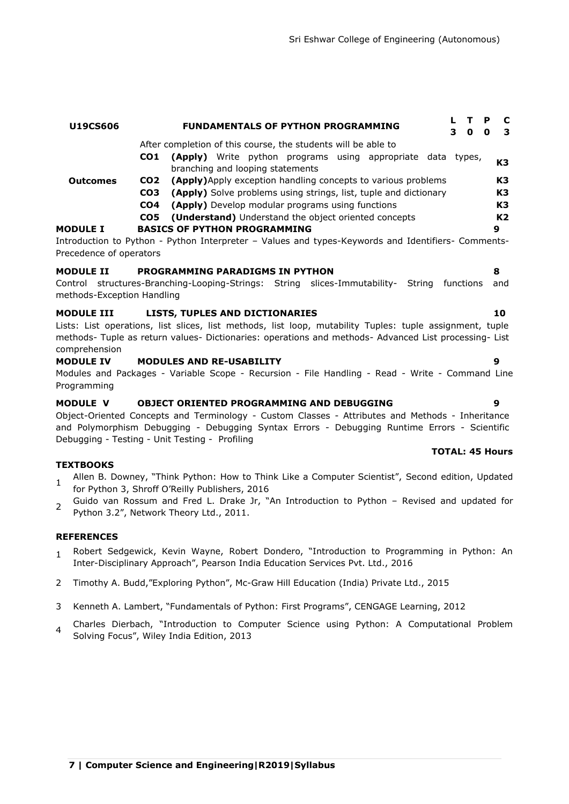#### **Outcomes** After completion of this course, the students will be able to **CO1 (Apply)** Write python programs using appropriate data types, **Example 7** write pytholic programs using appropriate usia types, **K3**<br>branching and looping statements **CO2 (Apply)**Apply exception handling concepts to various problems **K3 CO3 (Apply)** Solve problems using strings, list, tuple and dictionary **K3 CO4 (Apply)** Develop modular programs using functions **K3 CO5 (Understand)** Understand the object oriented concepts **K2 MODULE I BASICS OF PYTHON PROGRAMMING 9** Introduction to Python - Python Interpreter – Values and types-Keywords and Identifiers- Comments-Precedence of operators

**U19CS606 FUNDAMENTALS OF PYTHON PROGRAMMING <sup>L</sup> <sup>T</sup> <sup>P</sup> <sup>C</sup>**

### **MODULE II PROGRAMMING PARADIGMS IN PYTHON 8**

Control structures-Branching-Looping-Strings: String slices-Immutability- String functions and methods-Exception Handling

### **MODULE III LISTS, TUPLES AND DICTIONARIES 10**

Lists: List operations, list slices, list methods, list loop, mutability Tuples: tuple assignment, tuple methods- Tuple as return values- Dictionaries: operations and methods- Advanced List processing- List comprehension

#### **MODULE IV MODULES AND RE-USABILITY 9**

Modules and Packages - Variable Scope - Recursion - File Handling - Read - Write - Command Line Programming

#### **MODULE V OBJECT ORIENTED PROGRAMMING AND DEBUGGING 9**

Object-Oriented Concepts and Terminology - Custom Classes - Attributes and Methods - Inheritance and Polymorphism Debugging - Debugging Syntax Errors - Debugging Runtime Errors - Scientific Debugging - Testing - Unit Testing - Profiling

#### **TEXTBOOKS**

- 1 Allen B. Downey, "Think Python: How to Think Like a Computer Scientist", Second edition, Updated for Python 3, Shroff O'Reilly Publishers, 2016
- $\overline{2}$ Guido van Rossum and Fred L. Drake Jr, "An Introduction to Python – Revised and updated for Python 3.2", Network Theory Ltd., 2011.

#### **REFERENCES**

- 1 Robert Sedgewick, Kevin Wayne, Robert Dondero, "Introduction to Programming in Python: An Inter-Disciplinary Approach", Pearson India Education Services Pvt. Ltd., 2016
- 2 Timothy A. Budd,"Exploring Python", Mc-Graw Hill Education (India) Private Ltd., 2015
- 3 Kenneth A. Lambert, "Fundamentals of Python: First Programs", CENGAGE Learning, 2012
- 4 Charles Dierbach, "Introduction to Computer Science using Python: A Computational Problem Solving Focus", Wiley India Edition, 2013

### **TOTAL: 45 Hours**

**3 0 0 3**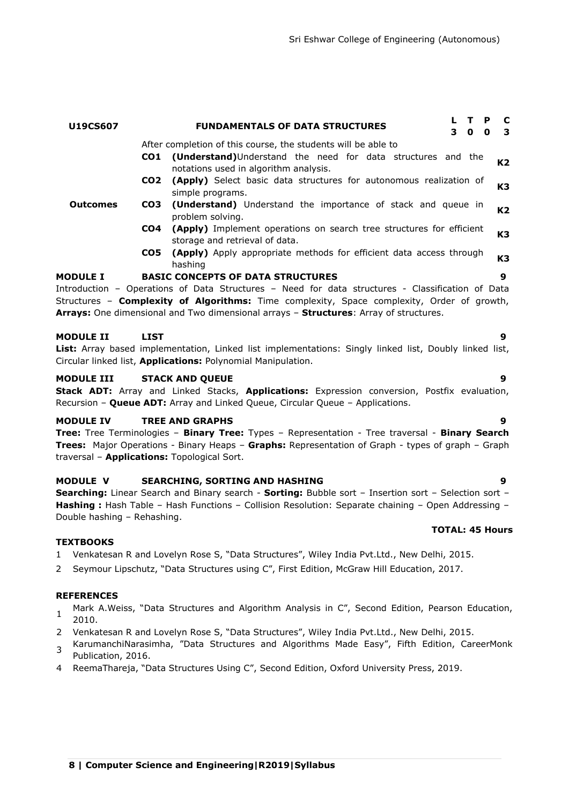# **Outcomes** After completion of this course, the students will be able to **CO1 (Understand)**Understand the need for data structures and the **CONDUCTS CONDUCTS CONDUCTS AND REVIEW AND THE UP INCORRELATION K2** notations used in algorithm analysis. **CO2 (Apply)** Select basic data structures for autonomous realization of simple programs. **K3 CO3 (Understand)** Understand the importance of stack and queue in problem solving. **K2 CO4 (Apply)** Implement operations on search tree structures for efficient **(Apply)** Implement operations on search tree structures for emclent **K3**<br>storage and retrieval of data. **CO5 (Apply)** Apply appropriate methods for efficient data access through hashing **K3 MODULE I BASIC CONCEPTS OF DATA STRUCTURES 9** Introduction – Operations of Data Structures – Need for data structures - Classification of Data Structures – **Complexity of Algorithms:** Time complexity, Space complexity, Order of growth, **Arrays:** One dimensional and Two dimensional arrays – **Structures**: Array of structures. **MODULE II LIST 9 List:** Array based implementation, Linked list implementations: Singly linked list, Doubly linked list, Circular linked list, **Applications:** Polynomial Manipulation. **MODULE III STACK AND QUEUE 9**

**U19CS607 FUNDAMENTALS OF DATA STRUCTURES <sup>L</sup> <sup>T</sup> <sup>P</sup> <sup>C</sup>**

**Stack ADT:** Array and Linked Stacks, **Applications:** Expression conversion, Postfix evaluation, Recursion – **Queue ADT:** Array and Linked Queue, Circular Queue – Applications.

### **MODULE IV TREE AND GRAPHS 9**

**Tree:** Tree Terminologies – **Binary Tree:** Types – Representation - Tree traversal - **Binary Search Trees:** Major Operations - Binary Heaps – **Graphs:** Representation of Graph - types of graph – Graph traversal – **Applications:** Topological Sort.

### **MODULE V SEARCHING, SORTING AND HASHING 9**

**Searching:** Linear Search and Binary search - **Sorting:** Bubble sort – Insertion sort – Selection sort – **Hashing :** Hash Table – Hash Functions – Collision Resolution: Separate chaining – Open Addressing – Double hashing – Rehashing.

#### **TEXTBOOKS**

- 1 Venkatesan R and Lovelyn Rose S, "Data Structures", Wiley India Pvt.Ltd., New Delhi, 2015.
- 2 Seymour Lipschutz, "Data Structures using C", First Edition, McGraw Hill Education, 2017.

#### **REFERENCES**

- 1 Mark A.Weiss, "Data Structures and Algorithm Analysis in C", Second Edition, Pearson Education, 2010.
- 2 Venkatesan R and Lovelyn Rose S, "Data Structures", Wiley India Pvt.Ltd., New Delhi, 2015.
- 3 KarumanchiNarasimha, "Data Structures and Algorithms Made Easy", Fifth Edition, CareerMonk Publication, 2016.
- 4 ReemaThareja, "Data Structures Using C", Second Edition, Oxford University Press, 2019.

# **TOTAL: 45 Hours**

**3 0 0 3**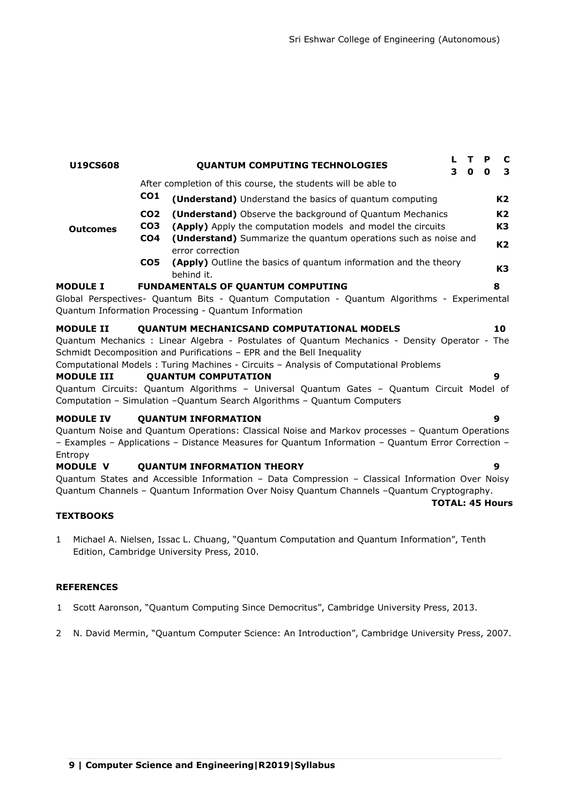**TOTAL: 45 Hours**

| <b>U19CS608</b>            |                                                       | <b>QUANTUM COMPUTING TECHNOLOGIES</b>                                                                                                                                                                                               | L<br>3 | т<br>$\mathbf{0}$ | P<br>$\mathbf 0$ | C<br>3               |
|----------------------------|-------------------------------------------------------|-------------------------------------------------------------------------------------------------------------------------------------------------------------------------------------------------------------------------------------|--------|-------------------|------------------|----------------------|
|                            |                                                       | After completion of this course, the students will be able to                                                                                                                                                                       |        |                   |                  |                      |
|                            | CO <sub>1</sub>                                       | (Understand) Understand the basics of quantum computing                                                                                                                                                                             |        |                   |                  | K2                   |
| <b>Outcomes</b>            | CO <sub>2</sub><br>CO <sub>3</sub><br>CO <sub>4</sub> | (Understand) Observe the background of Quantum Mechanics<br>(Apply) Apply the computation models and model the circuits<br>(Understand) Summarize the quantum operations such as noise and                                          |        |                   |                  | K2<br>K3             |
|                            | CO5                                                   | error correction<br>(Apply) Outline the basics of quantum information and the theory<br>behind it.                                                                                                                                  |        |                   |                  | K <sub>2</sub><br>K3 |
| <b>MODULE I</b>            |                                                       | <b>FUNDAMENTALS OF QUANTUM COMPUTING</b><br>Global Perspectives- Quantum Bits - Quantum Computation - Quantum Algorithms - Experimental<br>Quantum Information Processing - Quantum Information                                     |        |                   |                  | 8                    |
| <b>MODULE II</b>           |                                                       | <b>QUANTUM MECHANICSAND COMPUTATIONAL MODELS</b>                                                                                                                                                                                    |        |                   |                  | 10                   |
|                            |                                                       | Quantum Mechanics : Linear Algebra - Postulates of Quantum Mechanics - Density Operator - The<br>Schmidt Decomposition and Purifications - EPR and the Bell Inequality                                                              |        |                   |                  |                      |
| <b>MODULE III</b>          |                                                       | Computational Models: Turing Machines - Circuits - Analysis of Computational Problems<br><b>QUANTUM COMPUTATION</b>                                                                                                                 |        |                   |                  | 9                    |
|                            |                                                       | Quantum Circuits: Quantum Algorithms - Universal Quantum Gates - Quantum Circuit Model of<br>Computation - Simulation - Quantum Search Algorithms - Quantum Computers                                                               |        |                   |                  |                      |
| <b>MODULE IV</b>           |                                                       | <b>QUANTUM INFORMATION</b><br>Quantum Noise and Quantum Operations: Classical Noise and Markov processes - Quantum Operations<br>- Examples - Applications - Distance Measures for Quantum Information - Quantum Error Correction - |        |                   |                  | 9                    |
| Entropy<br><b>MODULE V</b> |                                                       | <b>OUANTUM INFORMATION THEORY</b>                                                                                                                                                                                                   |        |                   |                  | 9                    |

Quantum States and Accessible Information – Data Compression – Classical Information Over Noisy Quantum Channels – Quantum Information Over Noisy Quantum Channels –Quantum Cryptography.

### **TEXTBOOKS**

1 Michael A. Nielsen, Issac L. Chuang, "Quantum Computation and Quantum Information", Tenth Edition, Cambridge University Press, 2010.

- 1 Scott Aaronson, "Quantum Computing Since Democritus", Cambridge University Press, 2013.
- 2 N. David Mermin, "Quantum Computer Science: An Introduction", Cambridge University Press, 2007.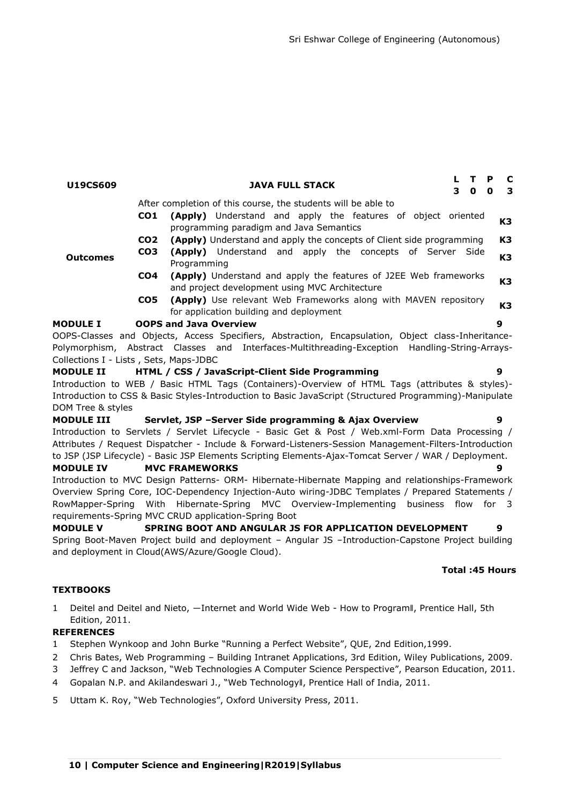| U19CS609                               |                 | $\mathbf{T}$<br><b>JAVA FULL STACK</b><br>$\overline{\mathbf{0}}$<br>З.                            | $\mathbf P$<br>$\mathbf o$ | <b>C</b><br>$\mathbf{3}$ |
|----------------------------------------|-----------------|----------------------------------------------------------------------------------------------------|----------------------------|--------------------------|
|                                        |                 | After completion of this course, the students will be able to                                      |                            |                          |
|                                        | CO1             | (Apply) Understand and apply the features of object oriented                                       |                            | K3                       |
|                                        |                 | programming paradigm and Java Semantics                                                            |                            |                          |
|                                        | CO <sub>2</sub> | <b>(Apply)</b> Understand and apply the concepts of Client side programming                        |                            | K3                       |
| <b>Outcomes</b>                        | CO <sub>3</sub> | (Apply) Understand and apply the concepts of Server Side                                           |                            | K3                       |
|                                        |                 | Programming                                                                                        |                            |                          |
|                                        | CO4             | (Apply) Understand and apply the features of J2EE Web frameworks                                   | K3                         |                          |
|                                        |                 | and project development using MVC Architecture                                                     |                            |                          |
|                                        | CO5             | (Apply) Use relevant Web Frameworks along with MAVEN repository                                    |                            | K3                       |
|                                        |                 | for application building and deployment                                                            |                            |                          |
| <b>MODULE I</b>                        |                 | <b>OOPS and Java Overview</b>                                                                      | 9                          |                          |
|                                        |                 | OOPS-Classes and Objects, Access Specifiers, Abstraction, Encapsulation, Object class-Inheritance- |                            |                          |
|                                        |                 | Polymorphism, Abstract Classes and Interfaces-Multithreading-Exception Handling-String-Arrays-     |                            |                          |
| Collections I - Lists, Sets, Maps-JDBC |                 |                                                                                                    |                            |                          |

#### **MODULE II HTML / CSS / JavaScript-Client Side Programming 9**

Introduction to WEB / Basic HTML Tags (Containers)-Overview of HTML Tags (attributes & styles)- Introduction to CSS & Basic Styles-Introduction to Basic JavaScript (Structured Programming)-Manipulate DOM Tree & styles

**MODULE III Servlet, JSP –Server Side programming & Ajax Overview 9** Introduction to Servlets / Servlet Lifecycle - Basic Get & Post / Web.xml-Form Data Processing / Attributes / Request Dispatcher - Include & Forward-Listeners-Session Management-Filters-Introduction to JSP (JSP Lifecycle) - Basic JSP Elements Scripting Elements-Ajax-Tomcat Server / WAR / Deployment.

#### **MODULE IV MVC FRAMEWORKS 9**

Introduction to MVC Design Patterns- ORM- Hibernate-Hibernate Mapping and relationships-Framework Overview Spring Core, IOC-Dependency Injection-Auto wiring-JDBC Templates / Prepared Statements / RowMapper-Spring With Hibernate-Spring MVC Overview-Implementing business flow for 3 requirements-Spring MVC CRUD application-Spring Boot

**MODULE V SPRING BOOT AND ANGULAR JS FOR APPLICATION DEVELOPMENT 9** Spring Boot-Maven Project build and deployment – Angular JS –Introduction-Capstone Project building and deployment in Cloud(AWS/Azure/Google Cloud).

#### **Total :45 Hours**

#### **TEXTBOOKS**

1 Deitel and Deitel and Nieto, —Internet and World Wide Web - How to Programll, Prentice Hall, 5th Edition, 2011.

- 1 Stephen Wynkoop and John Burke "Running a Perfect Website", QUE, 2nd Edition,1999.
- 2 Chris Bates, Web Programming Building Intranet Applications, 3rd Edition, Wiley Publications, 2009.
- 3 Jeffrey C and Jackson, "Web Technologies A Computer Science Perspective", Pearson Education, 2011.
- 4 Gopalan N.P. and Akilandeswari J., "Web Technologyll, Prentice Hall of India, 2011.
- 5 Uttam K. Roy, "Web Technologies", Oxford University Press, 2011.